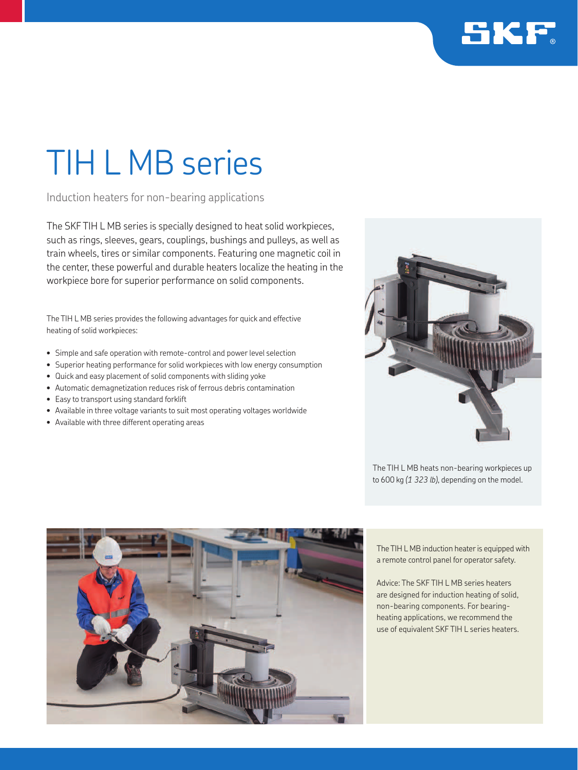

## TIH L MB series

Induction heaters for non-bearing applications

The SKF TIH L MB series is specially designed to heat solid workpieces, such as rings, sleeves, gears, couplings, bushings and pulleys, as well as train wheels, tires or similar components. Featuring one magnetic coil in the center, these powerful and durable heaters localize the heating in the workpiece bore for superior performance on solid components.

The TIH L MB series provides the following advantages for quick and effective heating of solid workpieces:

- Simple and safe operation with remote-control and power level selection
- Superior heating performance for solid workpieces with low energy consumption
- Quick and easy placement of solid components with sliding yoke
- Automatic demagnetization reduces risk of ferrous debris contamination
- Easy to transport using standard forklift
- Available in three voltage variants to suit most operating voltages worldwide
- Available with three different operating areas



The TIH L MB heats non-bearing workpieces up to 600 kg *(1 323 lb)*, depending on the model.



The TIH L MB induction heater is equipped with a remote control panel for operator safety.

Advice: The SKF TIH L MB series heaters are designed for induction heating of solid, non-bearing components. For bearingheating applications, we recommend the use of equivalent SKF TIH L series heaters.